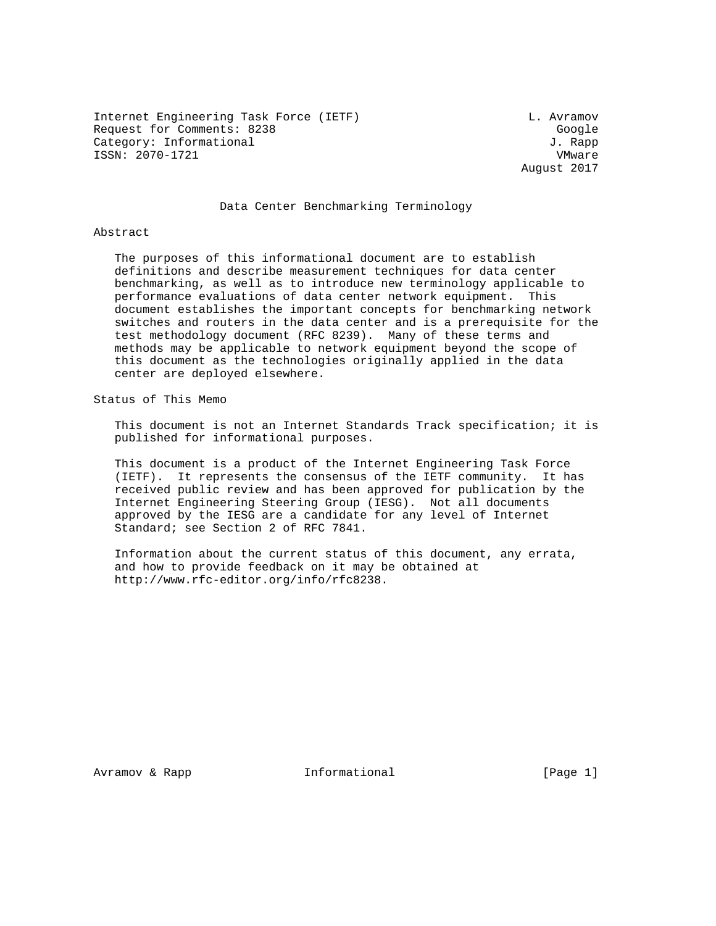Internet Engineering Task Force (IETF) CHEREN CONSTRUCTED L. Avramov Request for Comments: 8238 Google Category: Informational  $J.$  Rapp ISSN: 2070-1721 VMware

August 2017

## Data Center Benchmarking Terminology

#### Abstract

 The purposes of this informational document are to establish definitions and describe measurement techniques for data center benchmarking, as well as to introduce new terminology applicable to performance evaluations of data center network equipment. This document establishes the important concepts for benchmarking network switches and routers in the data center and is a prerequisite for the test methodology document (RFC 8239). Many of these terms and methods may be applicable to network equipment beyond the scope of this document as the technologies originally applied in the data center are deployed elsewhere.

Status of This Memo

 This document is not an Internet Standards Track specification; it is published for informational purposes.

 This document is a product of the Internet Engineering Task Force (IETF). It represents the consensus of the IETF community. It has received public review and has been approved for publication by the Internet Engineering Steering Group (IESG). Not all documents approved by the IESG are a candidate for any level of Internet Standard; see Section 2 of RFC 7841.

 Information about the current status of this document, any errata, and how to provide feedback on it may be obtained at http://www.rfc-editor.org/info/rfc8238.

Avramov & Rapp **Informational** [Page 1]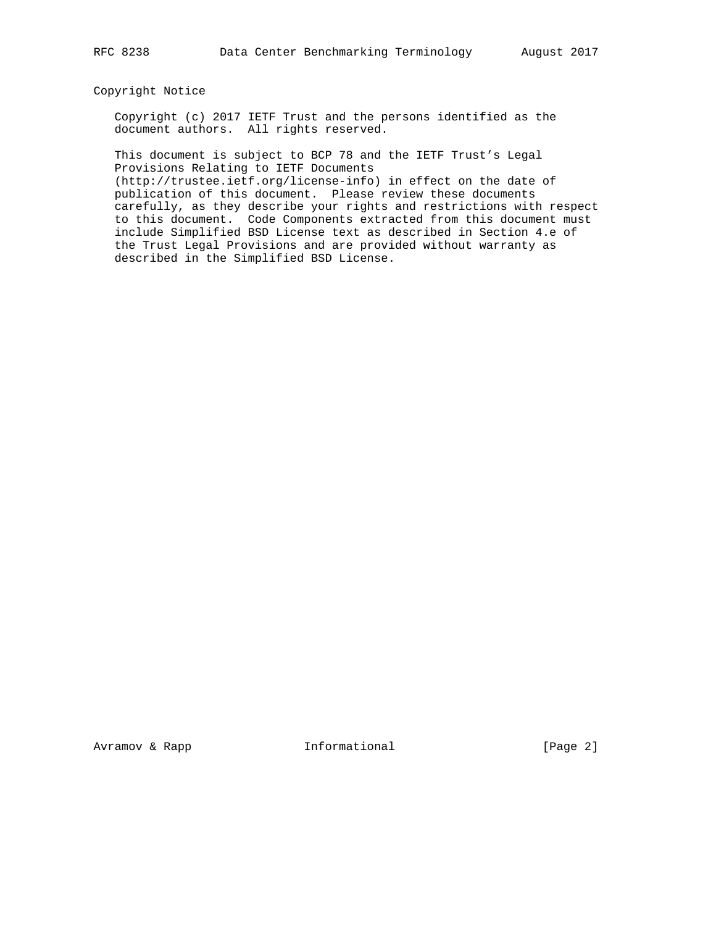## Copyright Notice

 Copyright (c) 2017 IETF Trust and the persons identified as the document authors. All rights reserved.

 This document is subject to BCP 78 and the IETF Trust's Legal Provisions Relating to IETF Documents

 (http://trustee.ietf.org/license-info) in effect on the date of publication of this document. Please review these documents carefully, as they describe your rights and restrictions with respect to this document. Code Components extracted from this document must include Simplified BSD License text as described in Section 4.e of the Trust Legal Provisions and are provided without warranty as described in the Simplified BSD License.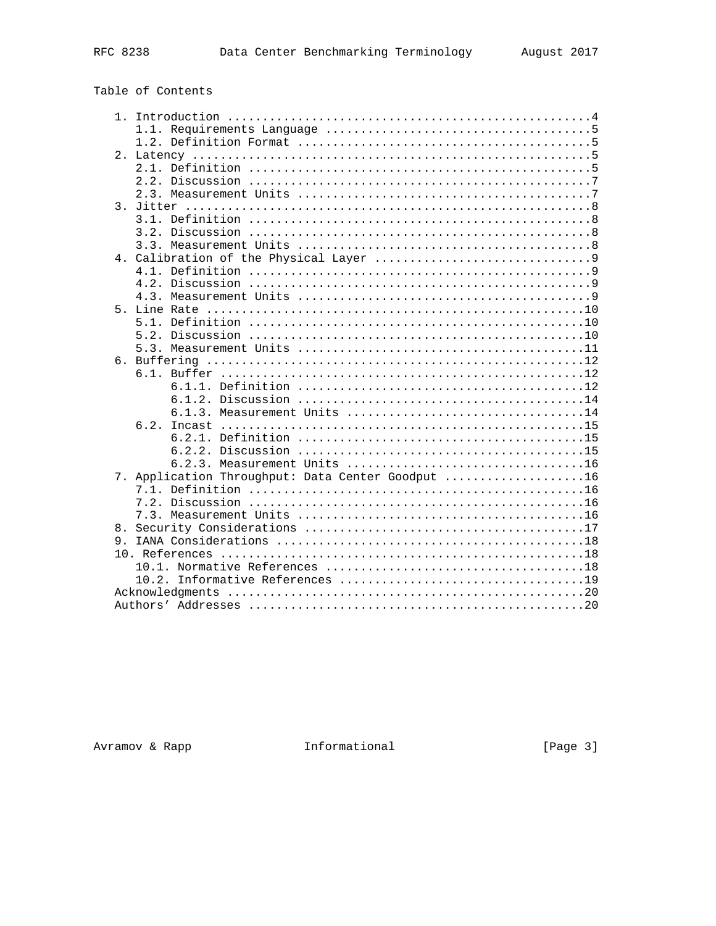| 2. |                                                   |
|----|---------------------------------------------------|
|    |                                                   |
|    |                                                   |
|    |                                                   |
|    |                                                   |
|    |                                                   |
|    |                                                   |
|    |                                                   |
|    |                                                   |
|    |                                                   |
|    |                                                   |
|    |                                                   |
|    |                                                   |
|    |                                                   |
|    |                                                   |
|    |                                                   |
|    |                                                   |
|    |                                                   |
|    | $6.1$ .                                           |
|    |                                                   |
|    |                                                   |
|    | 6.1.3. Measurement Units 14                       |
|    | 6.2.                                              |
|    |                                                   |
|    |                                                   |
|    |                                                   |
|    | 7. Application Throughput: Data Center Goodput 16 |
|    |                                                   |
|    |                                                   |
|    |                                                   |
| 8. |                                                   |
| 9. |                                                   |
|    |                                                   |
|    |                                                   |
|    |                                                   |
|    |                                                   |
|    |                                                   |
|    |                                                   |

Avramov & Rapp [Informational

 $[Page 3]$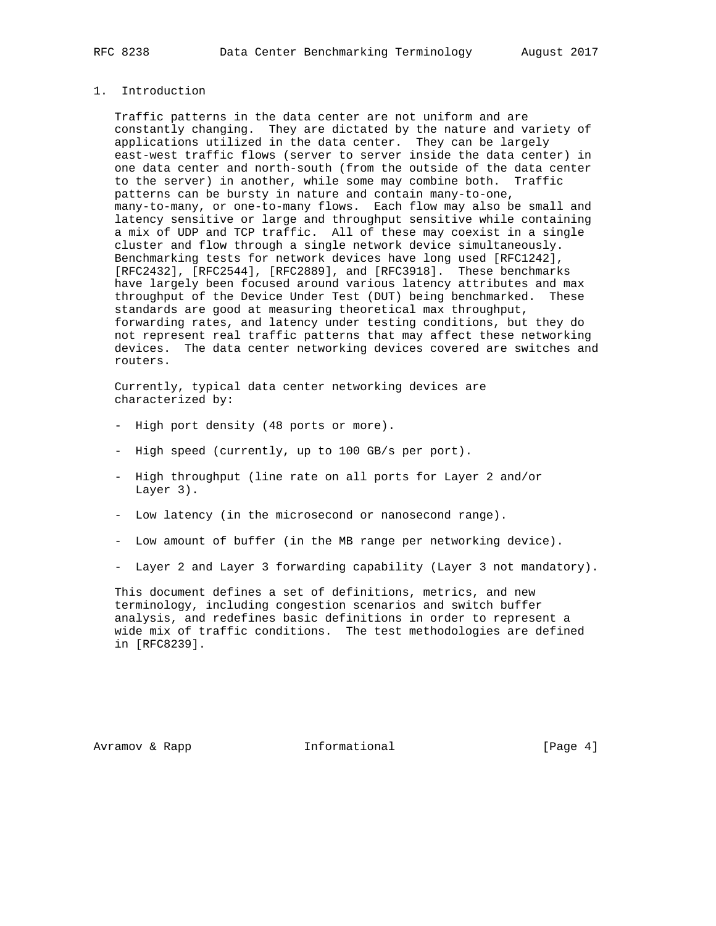# 1. Introduction

 Traffic patterns in the data center are not uniform and are constantly changing. They are dictated by the nature and variety of applications utilized in the data center. They can be largely east-west traffic flows (server to server inside the data center) in one data center and north-south (from the outside of the data center to the server) in another, while some may combine both. Traffic patterns can be bursty in nature and contain many-to-one, many-to-many, or one-to-many flows. Each flow may also be small and latency sensitive or large and throughput sensitive while containing a mix of UDP and TCP traffic. All of these may coexist in a single cluster and flow through a single network device simultaneously. Benchmarking tests for network devices have long used [RFC1242], [RFC2432], [RFC2544], [RFC2889], and [RFC3918]. These benchmarks have largely been focused around various latency attributes and max throughput of the Device Under Test (DUT) being benchmarked. These standards are good at measuring theoretical max throughput, forwarding rates, and latency under testing conditions, but they do not represent real traffic patterns that may affect these networking devices. The data center networking devices covered are switches and routers.

 Currently, typical data center networking devices are characterized by:

- High port density (48 ports or more).
- High speed (currently, up to 100 GB/s per port).
- High throughput (line rate on all ports for Layer 2 and/or Layer 3).
- Low latency (in the microsecond or nanosecond range).
- Low amount of buffer (in the MB range per networking device).
- Layer 2 and Layer 3 forwarding capability (Layer 3 not mandatory).

 This document defines a set of definitions, metrics, and new terminology, including congestion scenarios and switch buffer analysis, and redefines basic definitions in order to represent a wide mix of traffic conditions. The test methodologies are defined in [RFC8239].

Avramov & Rapp **Informational** [Page 4]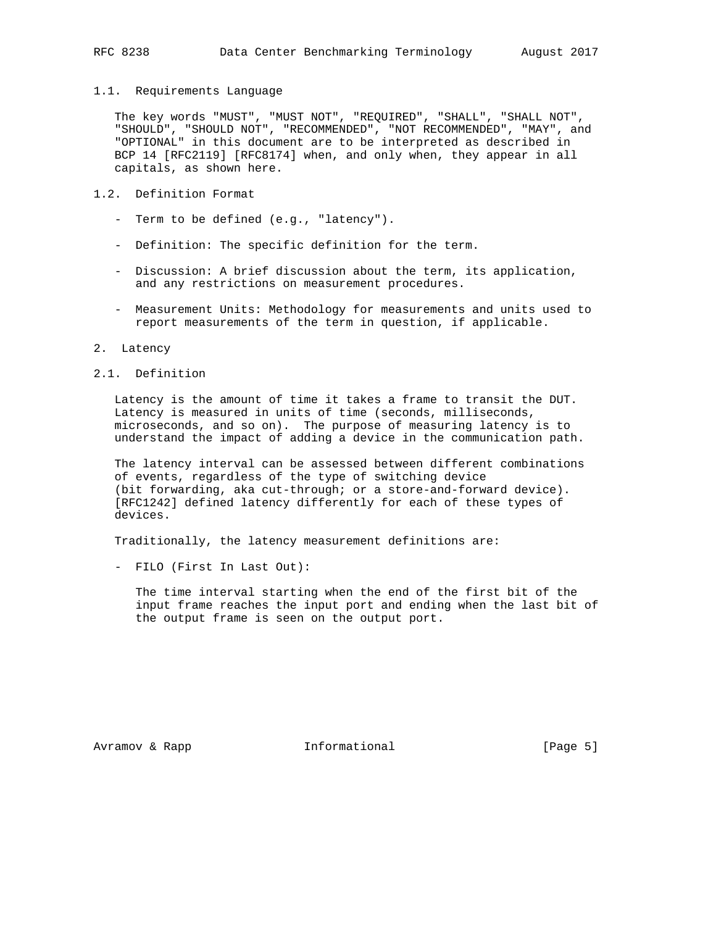#### 1.1. Requirements Language

 The key words "MUST", "MUST NOT", "REQUIRED", "SHALL", "SHALL NOT", "SHOULD", "SHOULD NOT", "RECOMMENDED", "NOT RECOMMENDED", "MAY", and "OPTIONAL" in this document are to be interpreted as described in BCP 14 [RFC2119] [RFC8174] when, and only when, they appear in all capitals, as shown here.

# 1.2. Definition Format

- Term to be defined (e.g., "latency").
- Definition: The specific definition for the term.
- Discussion: A brief discussion about the term, its application, and any restrictions on measurement procedures.
- Measurement Units: Methodology for measurements and units used to report measurements of the term in question, if applicable.

#### 2. Latency

# 2.1. Definition

 Latency is the amount of time it takes a frame to transit the DUT. Latency is measured in units of time (seconds, milliseconds, microseconds, and so on). The purpose of measuring latency is to understand the impact of adding a device in the communication path.

 The latency interval can be assessed between different combinations of events, regardless of the type of switching device (bit forwarding, aka cut-through; or a store-and-forward device). [RFC1242] defined latency differently for each of these types of devices.

Traditionally, the latency measurement definitions are:

- FILO (First In Last Out):

 The time interval starting when the end of the first bit of the input frame reaches the input port and ending when the last bit of the output frame is seen on the output port.

Avramov & Rapp **Informational** [Page 5]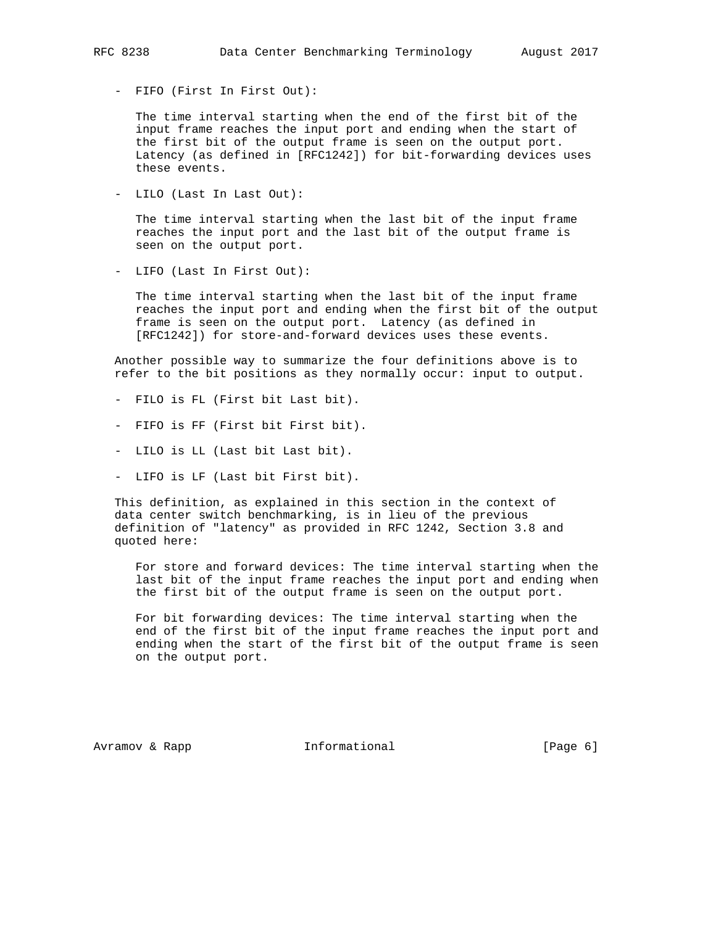- FIFO (First In First Out):

 The time interval starting when the end of the first bit of the input frame reaches the input port and ending when the start of the first bit of the output frame is seen on the output port. Latency (as defined in [RFC1242]) for bit-forwarding devices uses these events.

- LILO (Last In Last Out):

 The time interval starting when the last bit of the input frame reaches the input port and the last bit of the output frame is seen on the output port.

- LIFO (Last In First Out):

 The time interval starting when the last bit of the input frame reaches the input port and ending when the first bit of the output frame is seen on the output port. Latency (as defined in [RFC1242]) for store-and-forward devices uses these events.

 Another possible way to summarize the four definitions above is to refer to the bit positions as they normally occur: input to output.

- FILO is FL (First bit Last bit).
- FIFO is FF (First bit First bit).
- LILO is LL (Last bit Last bit).
- LIFO is LF (Last bit First bit).

 This definition, as explained in this section in the context of data center switch benchmarking, is in lieu of the previous definition of "latency" as provided in RFC 1242, Section 3.8 and quoted here:

 For store and forward devices: The time interval starting when the last bit of the input frame reaches the input port and ending when the first bit of the output frame is seen on the output port.

 For bit forwarding devices: The time interval starting when the end of the first bit of the input frame reaches the input port and ending when the start of the first bit of the output frame is seen on the output port.

Avramov & Rapp  $I_n$  Informational [Page 6]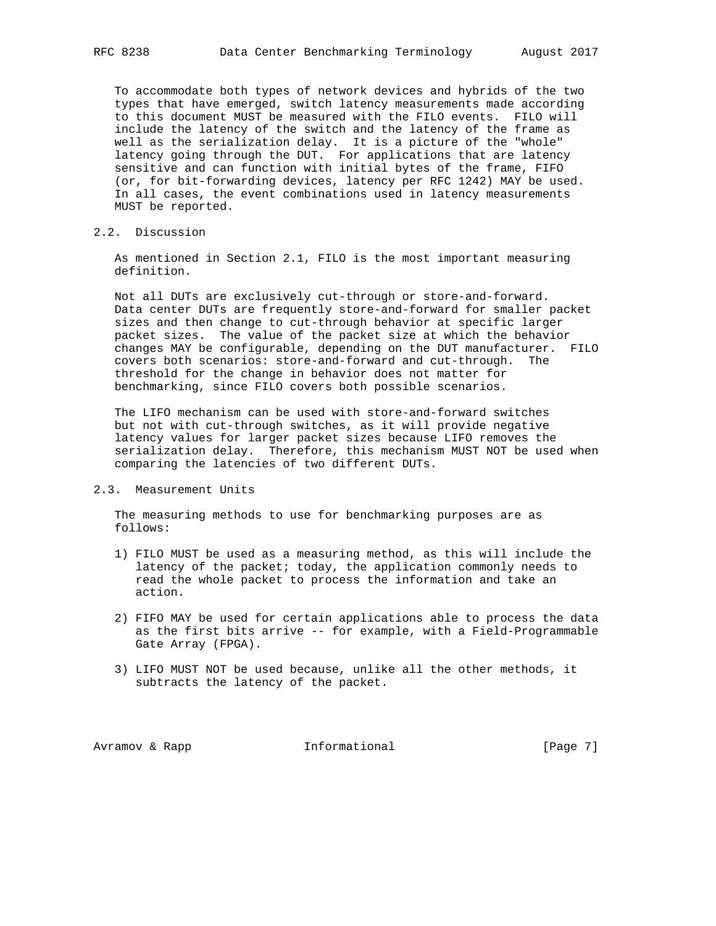To accommodate both types of network devices and hybrids of the two types that have emerged, switch latency measurements made according to this document MUST be measured with the FILO events. FILO will include the latency of the switch and the latency of the frame as well as the serialization delay. It is a picture of the "whole" latency going through the DUT. For applications that are latency sensitive and can function with initial bytes of the frame, FIFO (or, for bit-forwarding devices, latency per RFC 1242) MAY be used. In all cases, the event combinations used in latency measurements MUST be reported.

2.2. Discussion

 As mentioned in Section 2.1, FILO is the most important measuring definition.

 Not all DUTs are exclusively cut-through or store-and-forward. Data center DUTs are frequently store-and-forward for smaller packet sizes and then change to cut-through behavior at specific larger packet sizes. The value of the packet size at which the behavior changes MAY be configurable, depending on the DUT manufacturer. FILO covers both scenarios: store-and-forward and cut-through. The threshold for the change in behavior does not matter for benchmarking, since FILO covers both possible scenarios.

 The LIFO mechanism can be used with store-and-forward switches but not with cut-through switches, as it will provide negative latency values for larger packet sizes because LIFO removes the serialization delay. Therefore, this mechanism MUST NOT be used when comparing the latencies of two different DUTs.

#### 2.3. Measurement Units

 The measuring methods to use for benchmarking purposes are as follows:

- 1) FILO MUST be used as a measuring method, as this will include the latency of the packet; today, the application commonly needs to read the whole packet to process the information and take an action.
- 2) FIFO MAY be used for certain applications able to process the data as the first bits arrive -- for example, with a Field-Programmable Gate Array (FPGA).
- 3) LIFO MUST NOT be used because, unlike all the other methods, it subtracts the latency of the packet.

Avramov & Rapp **Informational** [Page 7]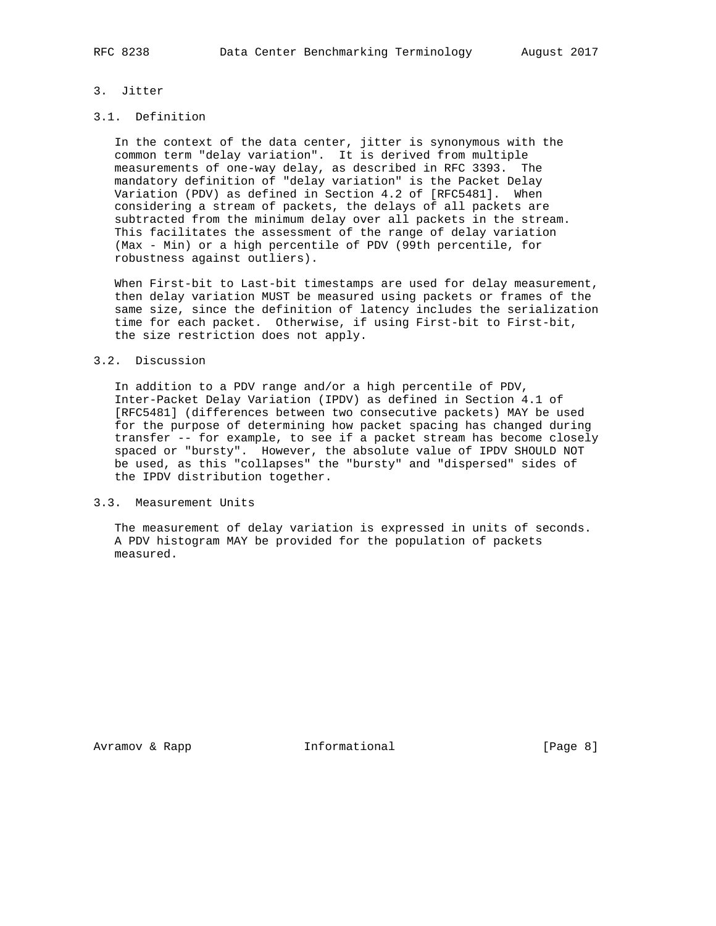# 3. Jitter

# 3.1. Definition

 In the context of the data center, jitter is synonymous with the common term "delay variation". It is derived from multiple measurements of one-way delay, as described in RFC 3393. The mandatory definition of "delay variation" is the Packet Delay Variation (PDV) as defined in Section 4.2 of [RFC5481]. When considering a stream of packets, the delays of all packets are subtracted from the minimum delay over all packets in the stream. This facilitates the assessment of the range of delay variation (Max - Min) or a high percentile of PDV (99th percentile, for robustness against outliers).

 When First-bit to Last-bit timestamps are used for delay measurement, then delay variation MUST be measured using packets or frames of the same size, since the definition of latency includes the serialization time for each packet. Otherwise, if using First-bit to First-bit, the size restriction does not apply.

#### 3.2. Discussion

 In addition to a PDV range and/or a high percentile of PDV, Inter-Packet Delay Variation (IPDV) as defined in Section 4.1 of [RFC5481] (differences between two consecutive packets) MAY be used for the purpose of determining how packet spacing has changed during transfer -- for example, to see if a packet stream has become closely spaced or "bursty". However, the absolute value of IPDV SHOULD NOT be used, as this "collapses" the "bursty" and "dispersed" sides of the IPDV distribution together.

## 3.3. Measurement Units

 The measurement of delay variation is expressed in units of seconds. A PDV histogram MAY be provided for the population of packets measured.

Avramov & Rapp **Informational** [Page 8]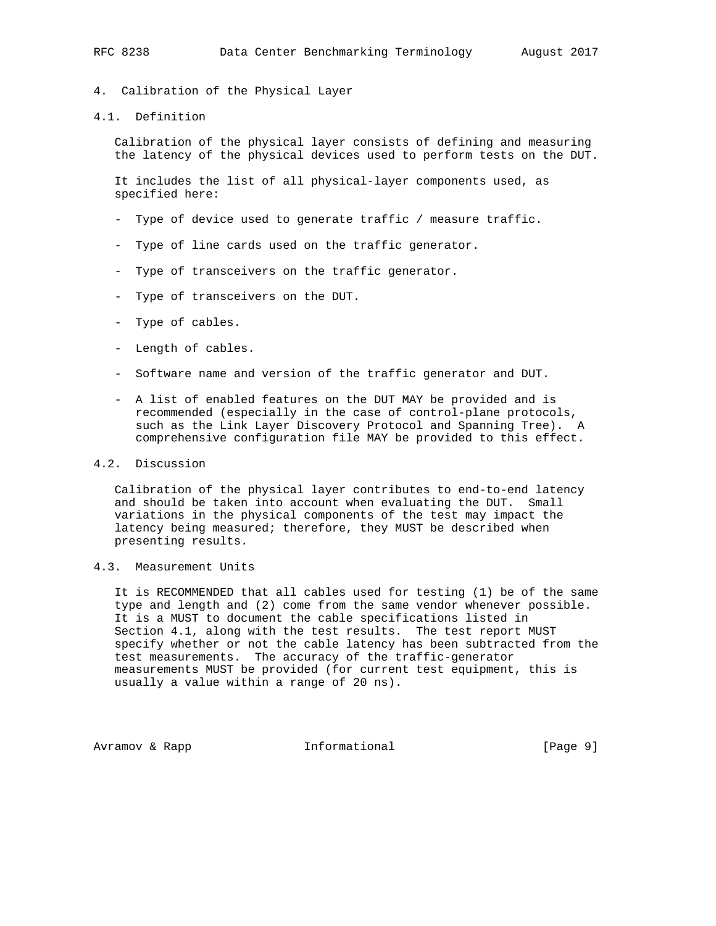- 4. Calibration of the Physical Layer
- 4.1. Definition

 Calibration of the physical layer consists of defining and measuring the latency of the physical devices used to perform tests on the DUT.

 It includes the list of all physical-layer components used, as specified here:

- Type of device used to generate traffic / measure traffic.
- Type of line cards used on the traffic generator.
- Type of transceivers on the traffic generator.
- Type of transceivers on the DUT.
- Type of cables.
- Length of cables.
- Software name and version of the traffic generator and DUT.
- A list of enabled features on the DUT MAY be provided and is recommended (especially in the case of control-plane protocols, such as the Link Layer Discovery Protocol and Spanning Tree). A comprehensive configuration file MAY be provided to this effect.

## 4.2. Discussion

 Calibration of the physical layer contributes to end-to-end latency and should be taken into account when evaluating the DUT. Small variations in the physical components of the test may impact the latency being measured; therefore, they MUST be described when presenting results.

# 4.3. Measurement Units

 It is RECOMMENDED that all cables used for testing (1) be of the same type and length and (2) come from the same vendor whenever possible. It is a MUST to document the cable specifications listed in Section 4.1, along with the test results. The test report MUST specify whether or not the cable latency has been subtracted from the test measurements. The accuracy of the traffic-generator measurements MUST be provided (for current test equipment, this is usually a value within a range of 20 ns).

Avramov & Rapp  $I_n$  Informational [Page 9]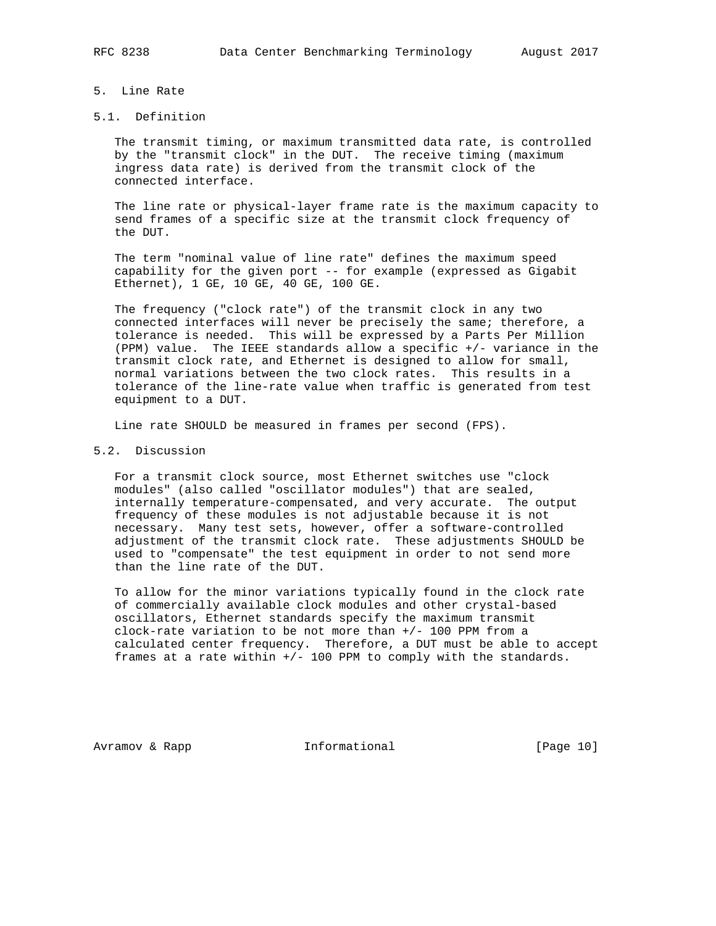### 5. Line Rate

## 5.1. Definition

 The transmit timing, or maximum transmitted data rate, is controlled by the "transmit clock" in the DUT. The receive timing (maximum ingress data rate) is derived from the transmit clock of the connected interface.

 The line rate or physical-layer frame rate is the maximum capacity to send frames of a specific size at the transmit clock frequency of the DUT.

 The term "nominal value of line rate" defines the maximum speed capability for the given port -- for example (expressed as Gigabit Ethernet), 1 GE, 10 GE, 40 GE, 100 GE.

 The frequency ("clock rate") of the transmit clock in any two connected interfaces will never be precisely the same; therefore, a tolerance is needed. This will be expressed by a Parts Per Million (PPM) value. The IEEE standards allow a specific +/- variance in the transmit clock rate, and Ethernet is designed to allow for small, normal variations between the two clock rates. This results in a tolerance of the line-rate value when traffic is generated from test equipment to a DUT.

Line rate SHOULD be measured in frames per second (FPS).

# 5.2. Discussion

 For a transmit clock source, most Ethernet switches use "clock modules" (also called "oscillator modules") that are sealed, internally temperature-compensated, and very accurate. The output frequency of these modules is not adjustable because it is not necessary. Many test sets, however, offer a software-controlled adjustment of the transmit clock rate. These adjustments SHOULD be used to "compensate" the test equipment in order to not send more than the line rate of the DUT.

 To allow for the minor variations typically found in the clock rate of commercially available clock modules and other crystal-based oscillators, Ethernet standards specify the maximum transmit clock-rate variation to be not more than +/- 100 PPM from a calculated center frequency. Therefore, a DUT must be able to accept frames at a rate within +/- 100 PPM to comply with the standards.

Avramov & Rapp **Informational** [Page 10]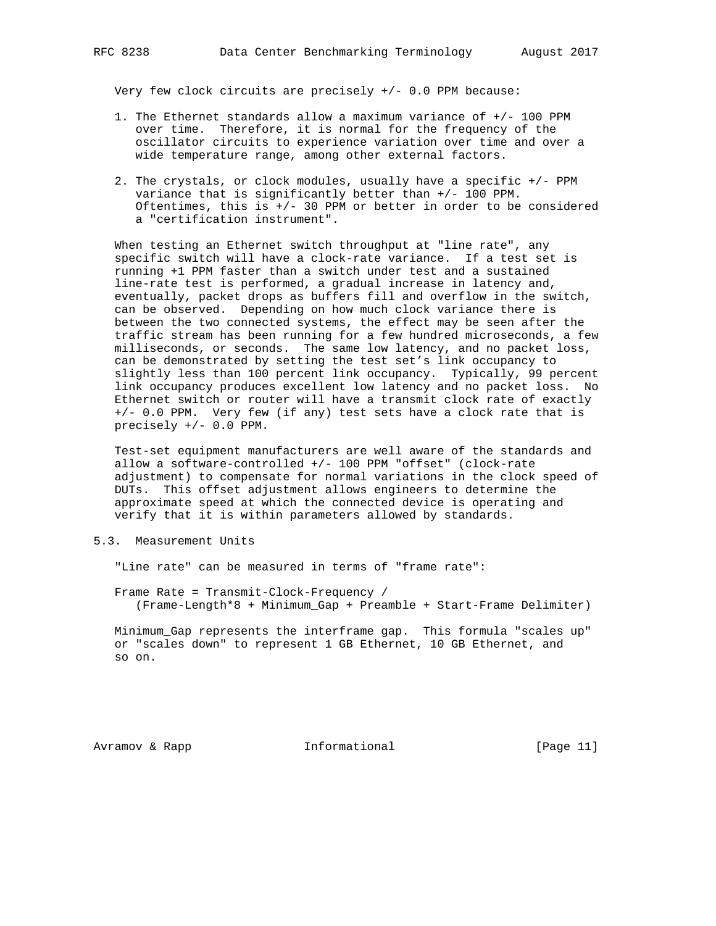Very few clock circuits are precisely  $+/-$  0.0 PPM because:

- 1. The Ethernet standards allow a maximum variance of +/- 100 PPM over time. Therefore, it is normal for the frequency of the oscillator circuits to experience variation over time and over a wide temperature range, among other external factors.
- 2. The crystals, or clock modules, usually have a specific +/- PPM variance that is significantly better than +/- 100 PPM. Oftentimes, this is  $+/-$  30 PPM or better in order to be considered a "certification instrument".

 When testing an Ethernet switch throughput at "line rate", any specific switch will have a clock-rate variance. If a test set is running +1 PPM faster than a switch under test and a sustained line-rate test is performed, a gradual increase in latency and, eventually, packet drops as buffers fill and overflow in the switch, can be observed. Depending on how much clock variance there is between the two connected systems, the effect may be seen after the traffic stream has been running for a few hundred microseconds, a few milliseconds, or seconds. The same low latency, and no packet loss, can be demonstrated by setting the test set's link occupancy to slightly less than 100 percent link occupancy. Typically, 99 percent link occupancy produces excellent low latency and no packet loss. No Ethernet switch or router will have a transmit clock rate of exactly +/- 0.0 PPM. Very few (if any) test sets have a clock rate that is precisely +/- 0.0 PPM.

 Test-set equipment manufacturers are well aware of the standards and allow a software-controlled +/- 100 PPM "offset" (clock-rate adjustment) to compensate for normal variations in the clock speed of DUTs. This offset adjustment allows engineers to determine the approximate speed at which the connected device is operating and verify that it is within parameters allowed by standards.

5.3. Measurement Units

"Line rate" can be measured in terms of "frame rate":

 Frame Rate = Transmit-Clock-Frequency / (Frame-Length\*8 + Minimum\_Gap + Preamble + Start-Frame Delimiter)

 Minimum\_Gap represents the interframe gap. This formula "scales up" or "scales down" to represent 1 GB Ethernet, 10 GB Ethernet, and so on.

Avramov & Rapp **Informational** [Page 11]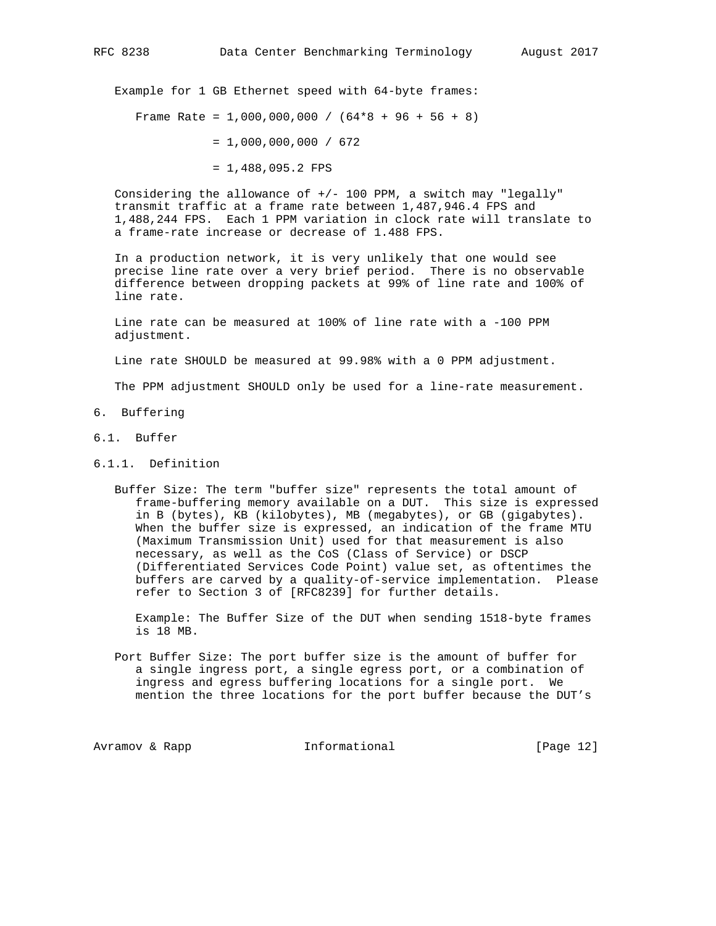Example for 1 GB Ethernet speed with 64-byte frames:

Frame Rate = 1,000,000,000 /  $(64*8 + 96 + 56 + 8)$ 

- $= 1,000,000,000 / 672$
- = 1,488,095.2 FPS

Considering the allowance of  $+/-$  100 PPM, a switch may "legally" transmit traffic at a frame rate between 1,487,946.4 FPS and 1,488,244 FPS. Each 1 PPM variation in clock rate will translate to a frame-rate increase or decrease of 1.488 FPS.

 In a production network, it is very unlikely that one would see precise line rate over a very brief period. There is no observable difference between dropping packets at 99% of line rate and 100% of line rate.

 Line rate can be measured at 100% of line rate with a -100 PPM adjustment.

Line rate SHOULD be measured at 99.98% with a 0 PPM adjustment.

The PPM adjustment SHOULD only be used for a line-rate measurement.

- 6. Buffering
- 6.1. Buffer
- 6.1.1. Definition
	- Buffer Size: The term "buffer size" represents the total amount of frame-buffering memory available on a DUT. This size is expressed in B (bytes), KB (kilobytes), MB (megabytes), or GB (gigabytes). When the buffer size is expressed, an indication of the frame MTU (Maximum Transmission Unit) used for that measurement is also necessary, as well as the CoS (Class of Service) or DSCP (Differentiated Services Code Point) value set, as oftentimes the buffers are carved by a quality-of-service implementation. Please refer to Section 3 of [RFC8239] for further details.

 Example: The Buffer Size of the DUT when sending 1518-byte frames is 18 MB.

 Port Buffer Size: The port buffer size is the amount of buffer for a single ingress port, a single egress port, or a combination of ingress and egress buffering locations for a single port. We mention the three locations for the port buffer because the DUT's

Avramov & Rapp **Informational** [Page 12]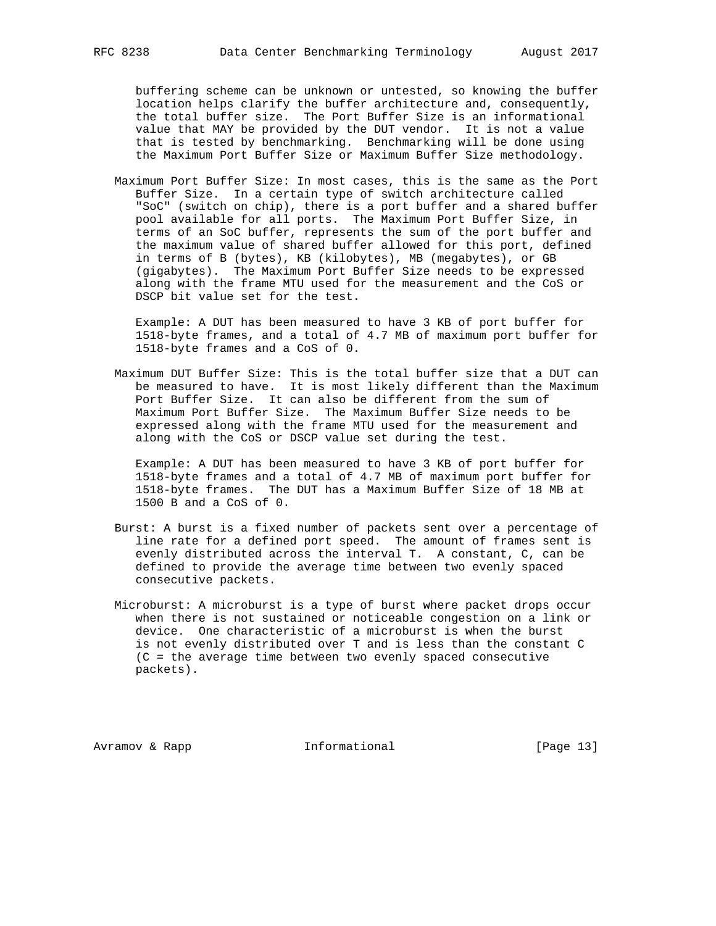buffering scheme can be unknown or untested, so knowing the buffer location helps clarify the buffer architecture and, consequently, the total buffer size. The Port Buffer Size is an informational value that MAY be provided by the DUT vendor. It is not a value that is tested by benchmarking. Benchmarking will be done using the Maximum Port Buffer Size or Maximum Buffer Size methodology.

 Maximum Port Buffer Size: In most cases, this is the same as the Port Buffer Size. In a certain type of switch architecture called "SoC" (switch on chip), there is a port buffer and a shared buffer pool available for all ports. The Maximum Port Buffer Size, in terms of an SoC buffer, represents the sum of the port buffer and the maximum value of shared buffer allowed for this port, defined in terms of B (bytes), KB (kilobytes), MB (megabytes), or GB (gigabytes). The Maximum Port Buffer Size needs to be expressed along with the frame MTU used for the measurement and the CoS or DSCP bit value set for the test.

 Example: A DUT has been measured to have 3 KB of port buffer for 1518-byte frames, and a total of 4.7 MB of maximum port buffer for 1518-byte frames and a CoS of 0.

 Maximum DUT Buffer Size: This is the total buffer size that a DUT can be measured to have. It is most likely different than the Maximum Port Buffer Size. It can also be different from the sum of Maximum Port Buffer Size. The Maximum Buffer Size needs to be expressed along with the frame MTU used for the measurement and along with the CoS or DSCP value set during the test.

 Example: A DUT has been measured to have 3 KB of port buffer for 1518-byte frames and a total of 4.7 MB of maximum port buffer for 1518-byte frames. The DUT has a Maximum Buffer Size of 18 MB at 1500 B and a CoS of 0.

- Burst: A burst is a fixed number of packets sent over a percentage of line rate for a defined port speed. The amount of frames sent is evenly distributed across the interval T. A constant, C, can be defined to provide the average time between two evenly spaced consecutive packets.
- Microburst: A microburst is a type of burst where packet drops occur when there is not sustained or noticeable congestion on a link or device. One characteristic of a microburst is when the burst is not evenly distributed over T and is less than the constant C (C = the average time between two evenly spaced consecutive packets).

Avramov & Rapp **Informational** [Page 13]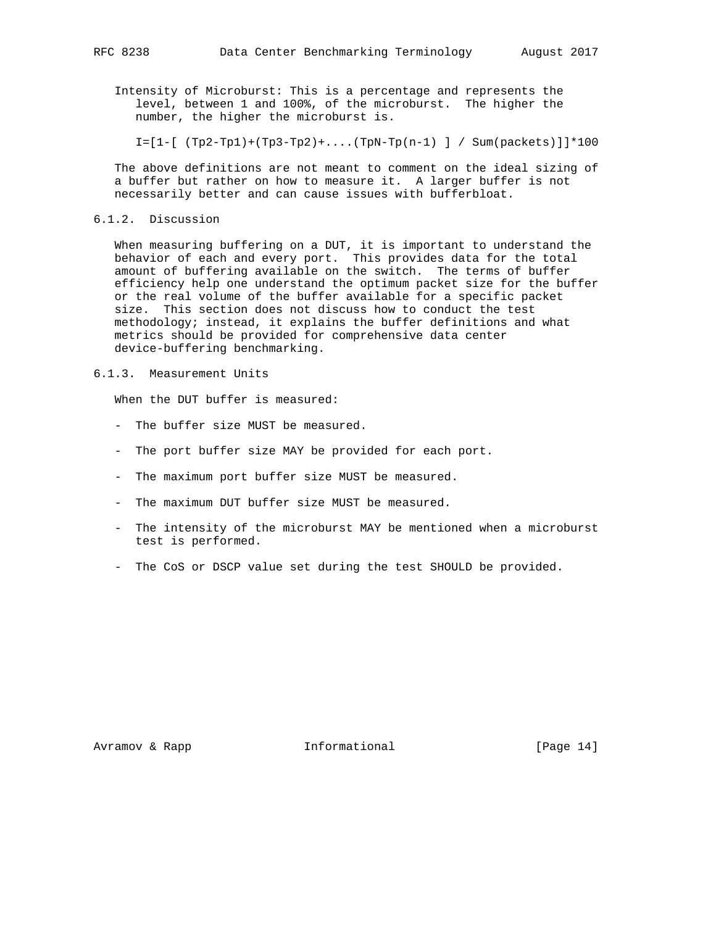Intensity of Microburst: This is a percentage and represents the level, between 1 and 100%, of the microburst. The higher the number, the higher the microburst is.

 $I=[1-[ (Tp2-Tp1)+(Tp3-Tp2)+....(TpN-Tp(n-1) ] / Sum(packets)]]*100$ 

 The above definitions are not meant to comment on the ideal sizing of a buffer but rather on how to measure it. A larger buffer is not necessarily better and can cause issues with bufferbloat.

6.1.2. Discussion

 When measuring buffering on a DUT, it is important to understand the behavior of each and every port. This provides data for the total amount of buffering available on the switch. The terms of buffer efficiency help one understand the optimum packet size for the buffer or the real volume of the buffer available for a specific packet size. This section does not discuss how to conduct the test methodology; instead, it explains the buffer definitions and what metrics should be provided for comprehensive data center device-buffering benchmarking.

6.1.3. Measurement Units

When the DUT buffer is measured:

- The buffer size MUST be measured.
- The port buffer size MAY be provided for each port.
- The maximum port buffer size MUST be measured.
- The maximum DUT buffer size MUST be measured.
- The intensity of the microburst MAY be mentioned when a microburst test is performed.
- The CoS or DSCP value set during the test SHOULD be provided.

Avramov & Rapp **Informational** [Page 14]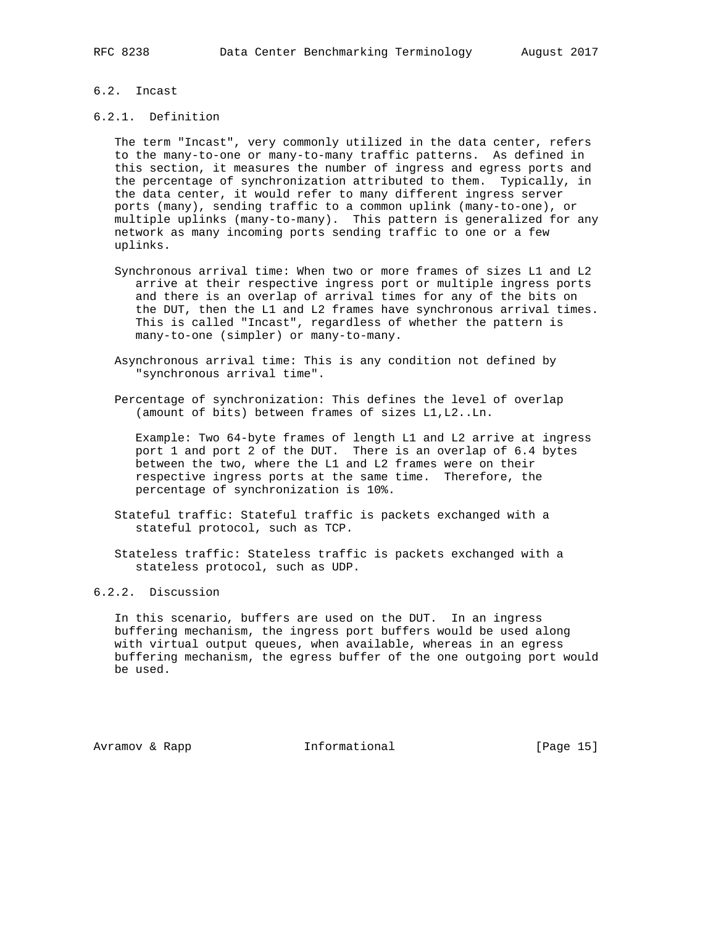# 6.2. Incast

#### 6.2.1. Definition

 The term "Incast", very commonly utilized in the data center, refers to the many-to-one or many-to-many traffic patterns. As defined in this section, it measures the number of ingress and egress ports and the percentage of synchronization attributed to them. Typically, in the data center, it would refer to many different ingress server ports (many), sending traffic to a common uplink (many-to-one), or multiple uplinks (many-to-many). This pattern is generalized for any network as many incoming ports sending traffic to one or a few uplinks.

- Synchronous arrival time: When two or more frames of sizes L1 and L2 arrive at their respective ingress port or multiple ingress ports and there is an overlap of arrival times for any of the bits on the DUT, then the L1 and L2 frames have synchronous arrival times. This is called "Incast", regardless of whether the pattern is many-to-one (simpler) or many-to-many.
- Asynchronous arrival time: This is any condition not defined by "synchronous arrival time".
- Percentage of synchronization: This defines the level of overlap (amount of bits) between frames of sizes L1,L2..Ln.

 Example: Two 64-byte frames of length L1 and L2 arrive at ingress port 1 and port 2 of the DUT. There is an overlap of 6.4 bytes between the two, where the L1 and L2 frames were on their respective ingress ports at the same time. Therefore, the percentage of synchronization is 10%.

- Stateful traffic: Stateful traffic is packets exchanged with a stateful protocol, such as TCP.
- Stateless traffic: Stateless traffic is packets exchanged with a stateless protocol, such as UDP.

# 6.2.2. Discussion

 In this scenario, buffers are used on the DUT. In an ingress buffering mechanism, the ingress port buffers would be used along with virtual output queues, when available, whereas in an egress buffering mechanism, the egress buffer of the one outgoing port would be used.

Avramov & Rapp **Informational** [Page 15]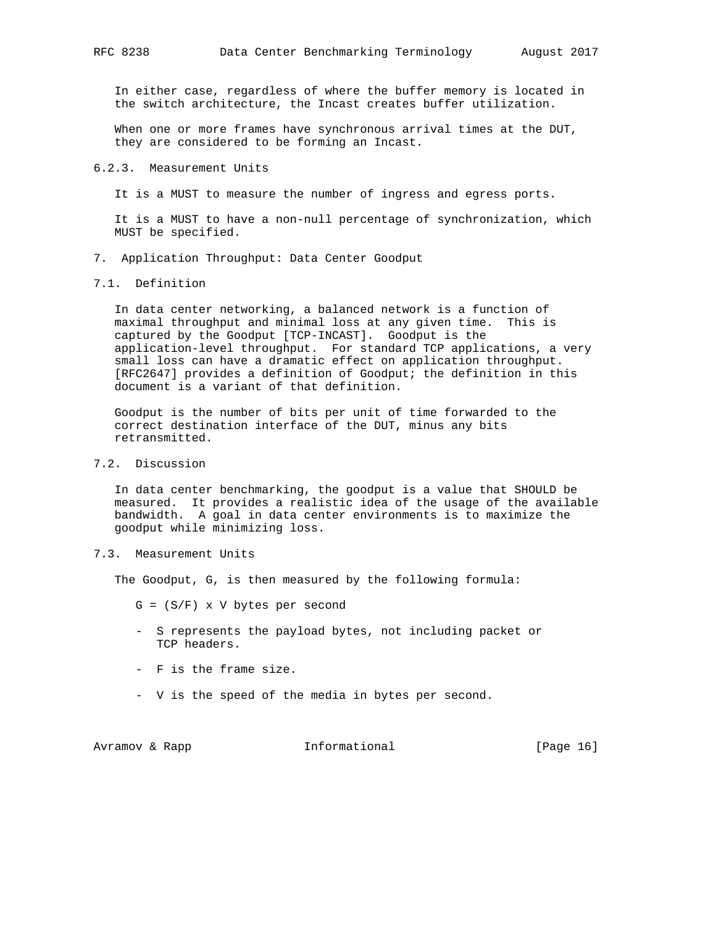In either case, regardless of where the buffer memory is located in the switch architecture, the Incast creates buffer utilization.

When one or more frames have synchronous arrival times at the DUT, they are considered to be forming an Incast.

#### 6.2.3. Measurement Units

It is a MUST to measure the number of ingress and egress ports.

 It is a MUST to have a non-null percentage of synchronization, which MUST be specified.

- 7. Application Throughput: Data Center Goodput
- 7.1. Definition

 In data center networking, a balanced network is a function of maximal throughput and minimal loss at any given time. This is captured by the Goodput [TCP-INCAST]. Goodput is the application-level throughput. For standard TCP applications, a very small loss can have a dramatic effect on application throughput. [RFC2647] provides a definition of Goodput; the definition in this document is a variant of that definition.

 Goodput is the number of bits per unit of time forwarded to the correct destination interface of the DUT, minus any bits retransmitted.

7.2. Discussion

 In data center benchmarking, the goodput is a value that SHOULD be measured. It provides a realistic idea of the usage of the available bandwidth. A goal in data center environments is to maximize the goodput while minimizing loss.

7.3. Measurement Units

The Goodput, G, is then measured by the following formula:

- $G = (S/F)$  x V bytes per second
- S represents the payload bytes, not including packet or TCP headers.
- F is the frame size.
- V is the speed of the media in bytes per second.

Avramov & Rapp **Informational** [Page 16]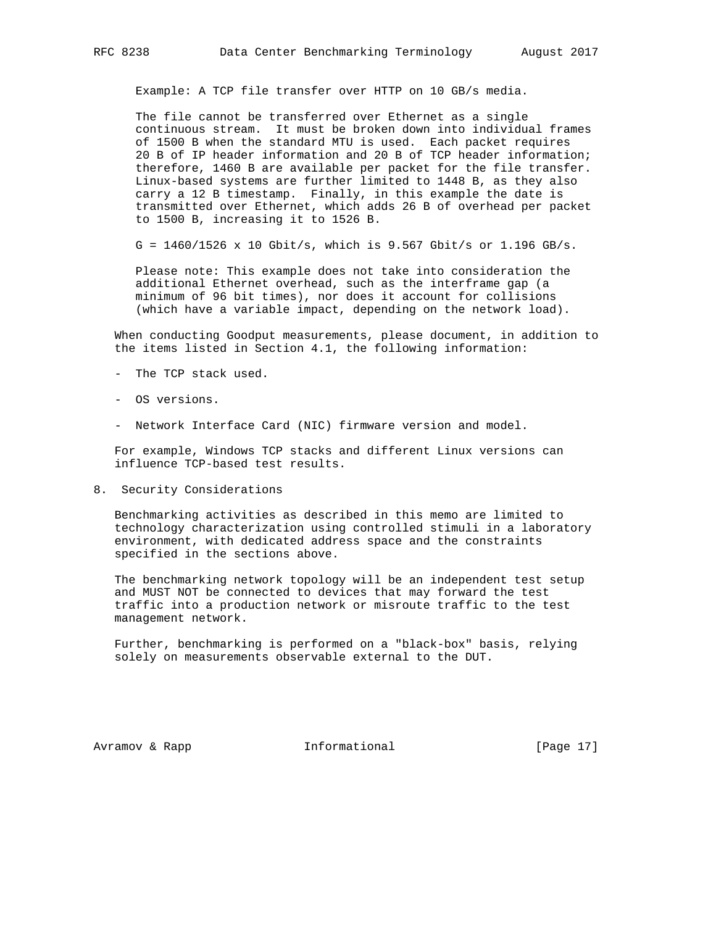Example: A TCP file transfer over HTTP on 10 GB/s media.

 The file cannot be transferred over Ethernet as a single continuous stream. It must be broken down into individual frames of 1500 B when the standard MTU is used. Each packet requires 20 B of IP header information and 20 B of TCP header information; therefore, 1460 B are available per packet for the file transfer. Linux-based systems are further limited to 1448 B, as they also carry a 12 B timestamp. Finally, in this example the date is transmitted over Ethernet, which adds 26 B of overhead per packet to 1500 B, increasing it to 1526 B.

G = 1460/1526 x 10 Gbit/s, which is 9.567 Gbit/s or 1.196 GB/s.

 Please note: This example does not take into consideration the additional Ethernet overhead, such as the interframe gap (a minimum of 96 bit times), nor does it account for collisions (which have a variable impact, depending on the network load).

 When conducting Goodput measurements, please document, in addition to the items listed in Section 4.1, the following information:

- The TCP stack used.
- OS versions.
- Network Interface Card (NIC) firmware version and model.

 For example, Windows TCP stacks and different Linux versions can influence TCP-based test results.

8. Security Considerations

 Benchmarking activities as described in this memo are limited to technology characterization using controlled stimuli in a laboratory environment, with dedicated address space and the constraints specified in the sections above.

 The benchmarking network topology will be an independent test setup and MUST NOT be connected to devices that may forward the test traffic into a production network or misroute traffic to the test management network.

 Further, benchmarking is performed on a "black-box" basis, relying solely on measurements observable external to the DUT.

Avramov & Rapp **Informational** [Page 17]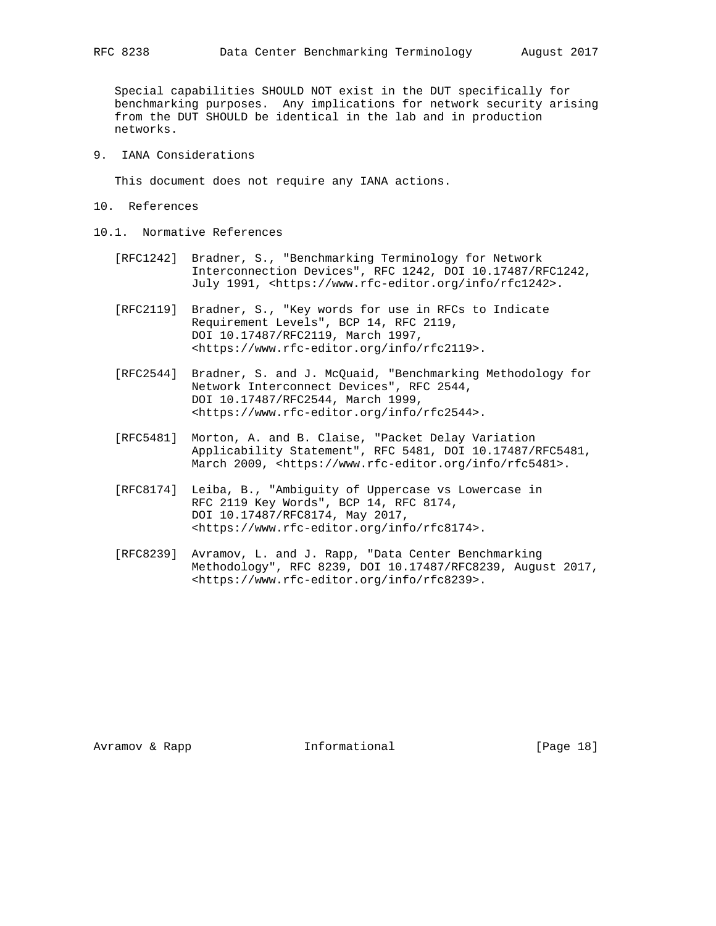Special capabilities SHOULD NOT exist in the DUT specifically for benchmarking purposes. Any implications for network security arising from the DUT SHOULD be identical in the lab and in production networks.

9. IANA Considerations

This document does not require any IANA actions.

- 10. References
- 10.1. Normative References
	- [RFC1242] Bradner, S., "Benchmarking Terminology for Network Interconnection Devices", RFC 1242, DOI 10.17487/RFC1242, July 1991, <https://www.rfc-editor.org/info/rfc1242>.
	- [RFC2119] Bradner, S., "Key words for use in RFCs to Indicate Requirement Levels", BCP 14, RFC 2119, DOI 10.17487/RFC2119, March 1997, <https://www.rfc-editor.org/info/rfc2119>.
	- [RFC2544] Bradner, S. and J. McQuaid, "Benchmarking Methodology for Network Interconnect Devices", RFC 2544, DOI 10.17487/RFC2544, March 1999, <https://www.rfc-editor.org/info/rfc2544>.
	- [RFC5481] Morton, A. and B. Claise, "Packet Delay Variation Applicability Statement", RFC 5481, DOI 10.17487/RFC5481, March 2009, <https://www.rfc-editor.org/info/rfc5481>.
	- [RFC8174] Leiba, B., "Ambiguity of Uppercase vs Lowercase in RFC 2119 Key Words", BCP 14, RFC 8174, DOI 10.17487/RFC8174, May 2017, <https://www.rfc-editor.org/info/rfc8174>.
	- [RFC8239] Avramov, L. and J. Rapp, "Data Center Benchmarking Methodology", RFC 8239, DOI 10.17487/RFC8239, August 2017, <https://www.rfc-editor.org/info/rfc8239>.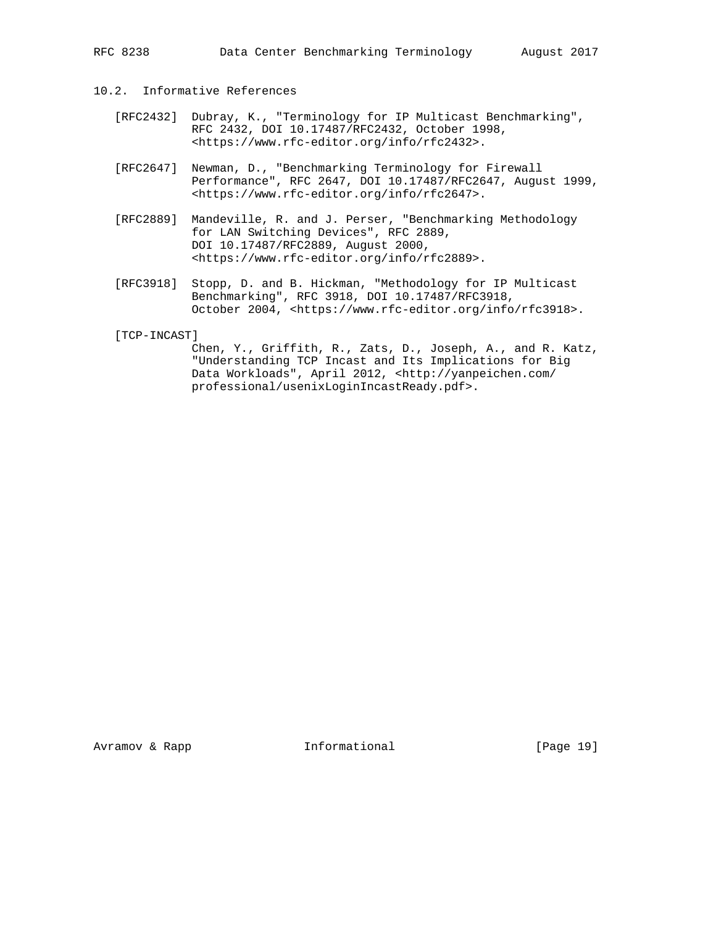# 10.2. Informative References

- [RFC2432] Dubray, K., "Terminology for IP Multicast Benchmarking", RFC 2432, DOI 10.17487/RFC2432, October 1998, <https://www.rfc-editor.org/info/rfc2432>.
- [RFC2647] Newman, D., "Benchmarking Terminology for Firewall Performance", RFC 2647, DOI 10.17487/RFC2647, August 1999, <https://www.rfc-editor.org/info/rfc2647>.
- [RFC2889] Mandeville, R. and J. Perser, "Benchmarking Methodology for LAN Switching Devices", RFC 2889, DOI 10.17487/RFC2889, August 2000, <https://www.rfc-editor.org/info/rfc2889>.
- [RFC3918] Stopp, D. and B. Hickman, "Methodology for IP Multicast Benchmarking", RFC 3918, DOI 10.17487/RFC3918, October 2004, <https://www.rfc-editor.org/info/rfc3918>.

[TCP-INCAST]

 Chen, Y., Griffith, R., Zats, D., Joseph, A., and R. Katz, "Understanding TCP Incast and Its Implications for Big Data Workloads", April 2012, <http://yanpeichen.com/ professional/usenixLoginIncastReady.pdf>.